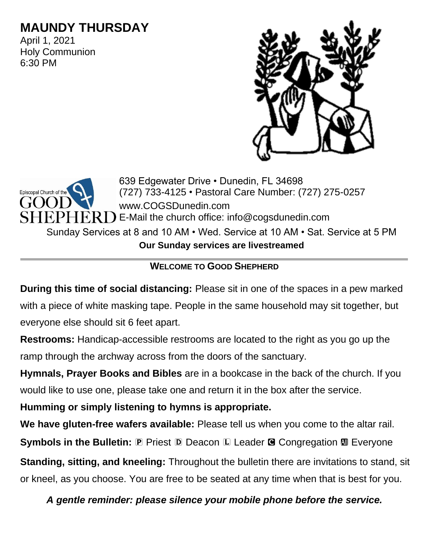# **MAUNDY THURSDAY**

April 1, 2021 Holy Communion 6:30 PM



639 Edgewater Drive • Dunedin, FL 34698 (727) 733-4125 • Pastoral Care Number: (727) 275-0257 Episcopal Church of the www.COGSDunedin.com E-Mail the church office: info@cogsdunedin.comSunday Services at 8 and 10 AM • Wed. Service at 10 AM • Sat. Service at 5 PM **Our Sunday services are livestreamed**

### **WELCOME TO GOOD SHEPHERD**

**During this time of social distancing:** Please sit in one of the spaces in a pew marked with a piece of white masking tape. People in the same household may sit together, but everyone else should sit 6 feet apart.

**Restrooms:** Handicap-accessible restrooms are located to the right as you go up the ramp through the archway across from the doors of the sanctuary.

**Hymnals, Prayer Books and Bibles** are in a bookcase in the back of the church. If you would like to use one, please take one and return it in the box after the service.

**Humming or simply listening to hymns is appropriate.**

**We have gluten-free wafers available:** Please tell us when you come to the altar rail.

**Symbols in the Bulletin: P Priest D Deacon L Leader G Congregation M Everyone** 

**Standing, sitting, and kneeling:** Throughout the bulletin there are invitations to stand, sit or kneel, as you choose. You are free to be seated at any time when that is best for you.

*A gentle reminder: please silence your mobile phone before the service.*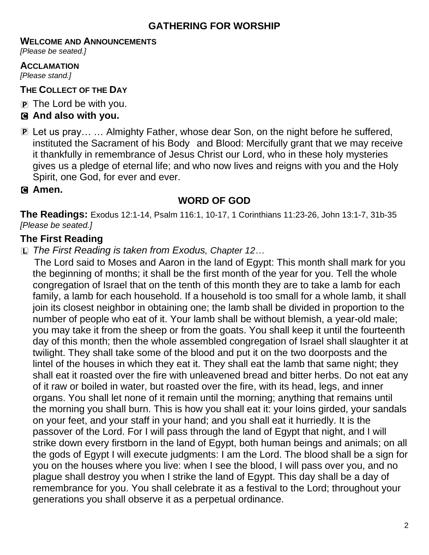### **GATHERING FOR WORSHIP**

#### **WELCOME AND ANNOUNCEMENTS**

*[Please be seated.]*

#### **ACCLAMATION**

*[Please stand.]*

#### **THE COLLECT OF THE DAY**

- P The Lord be with you.
- C **And also with you.**
- P Let us pray… … Almighty Father, whose dear Son, on the night before he suffered, instituted the Sacrament of his Body and Blood: Mercifully grant that we may receive it thankfully in remembrance of Jesus Christ our Lord, who in these holy mysteries gives us a pledge of eternal life; and who now lives and reigns with you and the Holy Spirit, one God, for ever and ever.
- C **Amen.**

# **WORD OF GOD**

**The Readings:** Exodus 12:1-14, Psalm 116:1, 10-17, 1 Corinthians 11:23-26, John 13:1-7, 31b-35 *[Please be seated.]*

# **The First Reading**

L *The First Reading is taken from Exodus, Chapter 12…*

The Lord said to Moses and Aaron in the land of Egypt: This month shall mark for you the beginning of months; it shall be the first month of the year for you. Tell the whole congregation of Israel that on the tenth of this month they are to take a lamb for each family, a lamb for each household. If a household is too small for a whole lamb, it shall join its closest neighbor in obtaining one; the lamb shall be divided in proportion to the number of people who eat of it. Your lamb shall be without blemish, a year-old male; you may take it from the sheep or from the goats. You shall keep it until the fourteenth day of this month; then the whole assembled congregation of Israel shall slaughter it at twilight. They shall take some of the blood and put it on the two doorposts and the lintel of the houses in which they eat it. They shall eat the lamb that same night; they shall eat it roasted over the fire with unleavened bread and bitter herbs. Do not eat any of it raw or boiled in water, but roasted over the fire, with its head, legs, and inner organs. You shall let none of it remain until the morning; anything that remains until the morning you shall burn. This is how you shall eat it: your loins girded, your sandals on your feet, and your staff in your hand; and you shall eat it hurriedly. It is the passover of the Lord. For I will pass through the land of Egypt that night, and I will strike down every firstborn in the land of Egypt, both human beings and animals; on all the gods of Egypt I will execute judgments: I am the Lord. The blood shall be a sign for you on the houses where you live: when I see the blood, I will pass over you, and no plague shall destroy you when I strike the land of Egypt. This day shall be a day of remembrance for you. You shall celebrate it as a festival to the Lord; throughout your generations you shall observe it as a perpetual ordinance.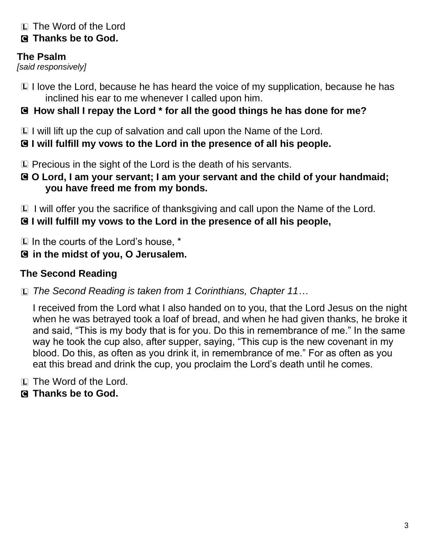# L The Word of the Lord

### C **Thanks be to God.**

### **The Psalm**

*[said responsively]*

- L I love the Lord, because he has heard the voice of my supplication, because he has inclined his ear to me whenever I called upon him.
- C **How shall I repay the Lord \* for all the good things he has done for me?**
- L I will lift up the cup of salvation and call upon the Name of the Lord.
- C **I will fulfill my vows to the Lord in the presence of all his people.**

L Precious in the sight of the Lord is the death of his servants.

C **O Lord, I am your servant; I am your servant and the child of your handmaid; you have freed me from my bonds.**

L I will offer you the sacrifice of thanksgiving and call upon the Name of the Lord. C **I will fulfill my vows to the Lord in the presence of all his people,**

- L In the courts of the Lord's house, \*
- C **in the midst of you, O Jerusalem.**

# **The Second Reading**

L *The Second Reading is taken from 1 Corinthians, Chapter 11…*

I received from the Lord what I also handed on to you, that the Lord Jesus on the night when he was betrayed took a loaf of bread, and when he had given thanks, he broke it and said, "This is my body that is for you. Do this in remembrance of me." In the same way he took the cup also, after supper, saying, "This cup is the new covenant in my blood. Do this, as often as you drink it, in remembrance of me." For as often as you eat this bread and drink the cup, you proclaim the Lord's death until he comes.

- L The Word of the Lord.
- C **Thanks be to God.**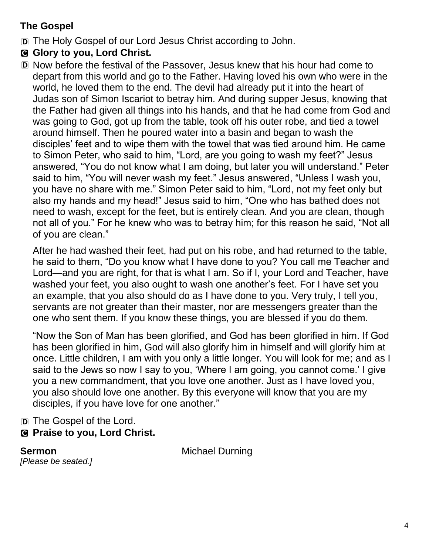# **The Gospel**

- D The Holy Gospel of our Lord Jesus Christ according to John.
- C **Glory to you, Lord Christ.**
- D Now before the festival of the Passover, Jesus knew that his hour had come to depart from this world and go to the Father. Having loved his own who were in the world, he loved them to the end. The devil had already put it into the heart of Judas son of Simon Iscariot to betray him. And during supper Jesus, knowing that the Father had given all things into his hands, and that he had come from God and was going to God, got up from the table, took off his outer robe, and tied a towel around himself. Then he poured water into a basin and began to wash the disciples' feet and to wipe them with the towel that was tied around him. He came to Simon Peter, who said to him, "Lord, are you going to wash my feet?" Jesus answered, "You do not know what I am doing, but later you will understand." Peter said to him, "You will never wash my feet." Jesus answered, "Unless I wash you, you have no share with me." Simon Peter said to him, "Lord, not my feet only but also my hands and my head!" Jesus said to him, "One who has bathed does not need to wash, except for the feet, but is entirely clean. And you are clean, though not all of you." For he knew who was to betray him; for this reason he said, "Not all of you are clean."

After he had washed their feet, had put on his robe, and had returned to the table, he said to them, "Do you know what I have done to you? You call me Teacher and Lord—and you are right, for that is what I am. So if I, your Lord and Teacher, have washed your feet, you also ought to wash one another's feet. For I have set you an example, that you also should do as I have done to you. Very truly, I tell you, servants are not greater than their master, nor are messengers greater than the one who sent them. If you know these things, you are blessed if you do them.

"Now the Son of Man has been glorified, and God has been glorified in him. If God has been glorified in him, God will also glorify him in himself and will glorify him at once. Little children, I am with you only a little longer. You will look for me; and as I said to the Jews so now I say to you, 'Where I am going, you cannot come.' I give you a new commandment, that you love one another. Just as I have loved you, you also should love one another. By this everyone will know that you are my disciples, if you have love for one another."

D The Gospel of the Lord. C **Praise to you, Lord Christ.** 

*[Please be seated.]*

**Sermon** Michael Durning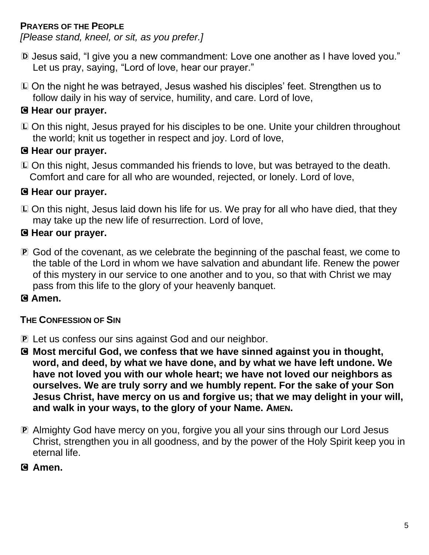### **PRAYERS OF THE PEOPLE**

*[Please stand, kneel, or sit, as you prefer.]*

- D Jesus said, "I give you a new commandment: Love one another as I have loved you." Let us pray, saying, "Lord of love, hear our prayer."
- L On the night he was betrayed, Jesus washed his disciples' feet. Strengthen us to follow daily in his way of service, humility, and care. Lord of love,

### C **Hear our prayer.**

L On this night, Jesus prayed for his disciples to be one. Unite your children throughout the world; knit us together in respect and joy. Lord of love,

### C **Hear our prayer.**

L On this night, Jesus commanded his friends to love, but was betrayed to the death. Comfort and care for all who are wounded, rejected, or lonely. Lord of love,

# C **Hear our prayer.**

L On this night, Jesus laid down his life for us. We pray for all who have died, that they may take up the new life of resurrection. Lord of love,

### C **Hear our prayer.**

- P God of the covenant, as we celebrate the beginning of the paschal feast, we come to the table of the Lord in whom we have salvation and abundant life. Renew the power of this mystery in our service to one another and to you, so that with Christ we may pass from this life to the glory of your heavenly banquet.
- C **Amen.**

### **THE CONFESSION OF SIN**

- P Let us confess our sins against God and our neighbor.
- C **Most merciful God, we confess that we have sinned against you in thought, word, and deed, by what we have done, and by what we have left undone. We have not loved you with our whole heart; we have not loved our neighbors as ourselves. We are truly sorry and we humbly repent. For the sake of your Son Jesus Christ, have mercy on us and forgive us; that we may delight in your will, and walk in your ways, to the glory of your Name. AMEN.**
- P Almighty God have mercy on you, forgive you all your sins through our Lord Jesus Christ, strengthen you in all goodness, and by the power of the Holy Spirit keep you in eternal life.
- C **Amen.**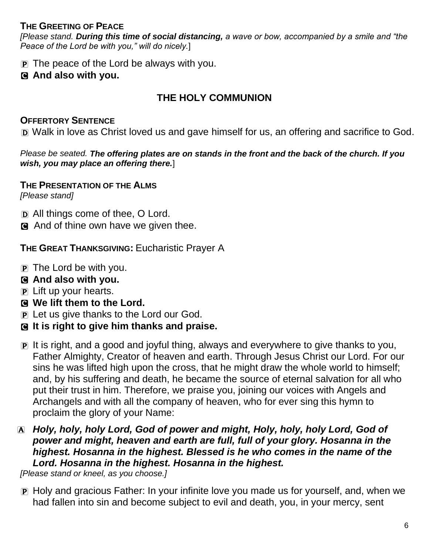#### **THE GREETING OF PEACE**

*[Please stand. During this time of social distancing, a wave or bow, accompanied by a smile and "the Peace of the Lord be with you," will do nicely.*]

- $\overline{p}$  The peace of the Lord be always with you.
- C **And also with you.**

# **THE HOLY COMMUNION**

#### **OFFERTORY SENTENCE**

D Walk in love as Christ loved us and gave himself for us, an offering and sacrifice to God.

*Please be seated. The offering plates are on stands in the front and the back of the church. If you wish, you may place an offering there.*]

#### **THE PRESENTATION OF THE ALMS**

*[Please stand]*

- D All things come of thee, O Lord.
- G And of thine own have we given thee.

**THE GREAT THANKSGIVING:** Eucharistic Prayer A

- $\mathbf{P}$  The Lord be with you.
- C **And also with you.**
- P Lift up your hearts.
- C **We lift them to the Lord.**
- P Let us give thanks to the Lord our God.
- C **It is right to give him thanks and praise.**
- P It is right, and a good and joyful thing, always and everywhere to give thanks to you, Father Almighty, Creator of heaven and earth. Through Jesus Christ our Lord. For our sins he was lifted high upon the cross, that he might draw the whole world to himself; and, by his suffering and death, he became the source of eternal salvation for all who put their trust in him. Therefore, we praise you, joining our voices with Angels and Archangels and with all the company of heaven, who for ever sing this hymn to proclaim the glory of your Name:
- A *Holy, holy, holy Lord, God of power and might, Holy, holy, holy Lord, God of power and might, heaven and earth are full, full of your glory. Hosanna in the highest. Hosanna in the highest. Blessed is he who comes in the name of the Lord. Hosanna in the highest. Hosanna in the highest.*

*[Please stand or kneel, as you choose.]*

P Holy and gracious Father: In your infinite love you made us for yourself, and, when we had fallen into sin and become subject to evil and death, you, in your mercy, sent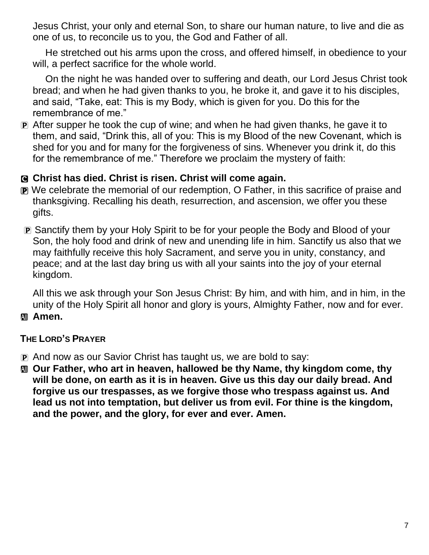Jesus Christ, your only and eternal Son, to share our human nature, to live and die as one of us, to reconcile us to you, the God and Father of all.

He stretched out his arms upon the cross, and offered himself, in obedience to your will, a perfect sacrifice for the whole world.

On the night he was handed over to suffering and death, our Lord Jesus Christ took bread; and when he had given thanks to you, he broke it, and gave it to his disciples, and said, "Take, eat: This is my Body, which is given for you. Do this for the remembrance of me."

P After supper he took the cup of wine; and when he had given thanks, he gave it to them, and said, "Drink this, all of you: This is my Blood of the new Covenant, which is shed for you and for many for the forgiveness of sins. Whenever you drink it, do this for the remembrance of me." Therefore we proclaim the mystery of faith:

# C **Christ has died. Christ is risen. Christ will come again.**

- P We celebrate the memorial of our redemption, O Father, in this sacrifice of praise and thanksgiving. Recalling his death, resurrection, and ascension, we offer you these gifts.
- P Sanctify them by your Holy Spirit to be for your people the Body and Blood of your Son, the holy food and drink of new and unending life in him. Sanctify us also that we may faithfully receive this holy Sacrament, and serve you in unity, constancy, and peace; and at the last day bring us with all your saints into the joy of your eternal kingdom.

All this we ask through your Son Jesus Christ: By him, and with him, and in him, in the unity of the Holy Spirit all honor and glory is yours, Almighty Father, now and for ever.

# **M** Amen.

### **THE LORD'S PRAYER**

- P And now as our Savior Christ has taught us, we are bold to say:
- $\text{M}$  **Our Father, who art in heaven, hallowed be thy Name, thy kingdom come, thy will be done, on earth as it is in heaven. Give us this day our daily bread. And forgive us our trespasses, as we forgive those who trespass against us. And lead us not into temptation, but deliver us from evil. For thine is the kingdom, and the power, and the glory, for ever and ever. Amen.**